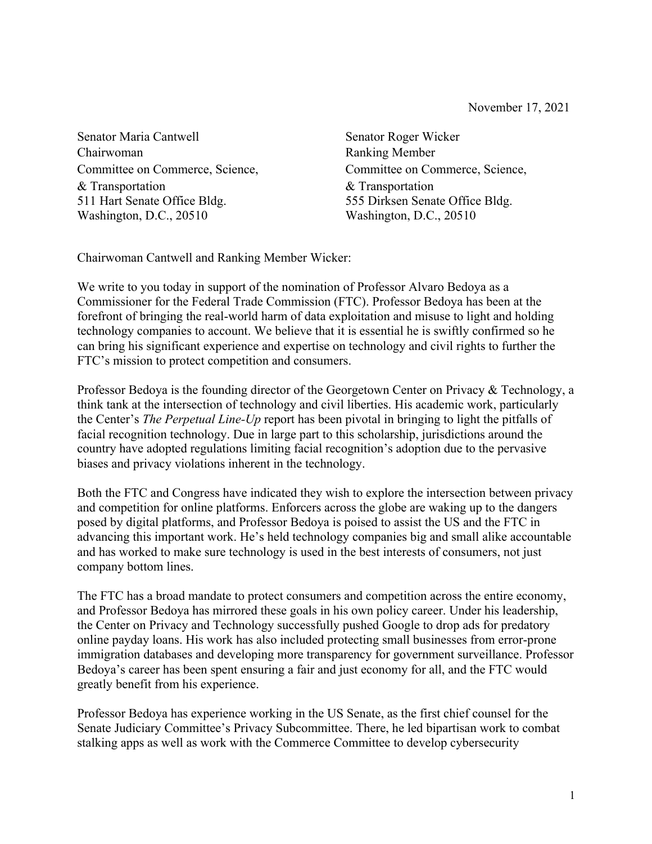Senator Maria Cantwell Senator Roger Wicker Chairwoman Ranking Member Committee on Commerce, Science, Committee on Commerce, Science, & Transportation & Transportation 511 Hart Senate Office Bldg. 555 Dirksen Senate Office Bldg. Washington, D.C., 20510 Washington, D.C., 20510

Chairwoman Cantwell and Ranking Member Wicker:

We write to you today in support of the nomination of Professor Alvaro Bedoya as a Commissioner for the Federal Trade Commission (FTC). Professor Bedoya has been at the forefront of bringing the real-world harm of data exploitation and misuse to light and holding technology companies to account. We believe that it is essential he is swiftly confirmed so he can bring his significant experience and expertise on technology and civil rights to further the FTC's mission to protect competition and consumers.

Professor Bedoya is the founding director of the Georgetown Center on Privacy & Technology, a think tank at the intersection of technology and civil liberties. His academic work, particularly the Center's *The Perpetual Line-Up* report has been pivotal in bringing to light the pitfalls of facial recognition technology. Due in large part to this scholarship, jurisdictions around the country have adopted regulations limiting facial recognition's adoption due to the pervasive biases and privacy violations inherent in the technology.

Both the FTC and Congress have indicated they wish to explore the intersection between privacy and competition for online platforms. Enforcers across the globe are waking up to the dangers posed by digital platforms, and Professor Bedoya is poised to assist the US and the FTC in advancing this important work. He's held technology companies big and small alike accountable and has worked to make sure technology is used in the best interests of consumers, not just company bottom lines.

The FTC has a broad mandate to protect consumers and competition across the entire economy, and Professor Bedoya has mirrored these goals in his own policy career. Under his leadership, the Center on Privacy and Technology successfully pushed Google to drop ads for predatory online payday loans. His work has also included protecting small businesses from error-prone immigration databases and developing more transparency for government surveillance. Professor Bedoya's career has been spent ensuring a fair and just economy for all, and the FTC would greatly benefit from his experience.

Professor Bedoya has experience working in the US Senate, as the first chief counsel for the Senate Judiciary Committee's Privacy Subcommittee. There, he led bipartisan work to combat stalking apps as well as work with the Commerce Committee to develop cybersecurity